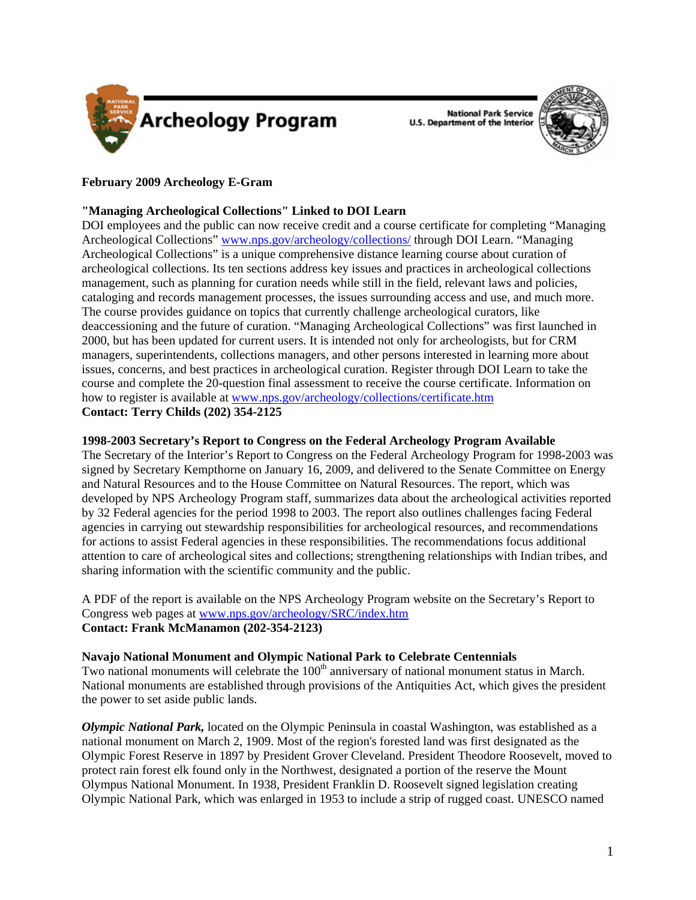

**National Park Service U.S. Department of the Interior** 



# **February 2009 Archeology E-Gram**

## **"Managing Archeological Collections" Linked to DOI Learn**

DOI employees and the public can now receive credit and a course certificate for completing "Managing Archeological Collections" <www.nps.gov/archeology/collections/> through DOI Learn. "Managing Archeological Collections" is a unique comprehensive distance learning course about curation of archeological collections. Its ten sections address key issues and practices in archeological collections management, such as planning for curation needs while still in the field, relevant laws and policies, cataloging and records management processes, the issues surrounding access and use, and much more. The course provides guidance on topics that currently challenge archeological curators, like deaccessioning and the future of curation. "Managing Archeological Collections" was first launched in 2000, but has been updated for current users. It is intended not only for archeologists, but for CRM managers, superintendents, collections managers, and other persons interested in learning more about issues, concerns, and best practices in archeological curation. Register through DOI Learn to take the course and complete the 20-question final assessment to receive the course certificate. Information on how to register is available at <www.nps.gov/archeology/collections/certificate.htm> **Contact: Terry Childs (202) 354-2125**

## **1998-2003 Secretary's Report to Congress on the Federal Archeology Program Available**

The Secretary of the Interior's Report to Congress on the Federal Archeology Program for 1998-2003 was signed by Secretary Kempthorne on January 16, 2009, and delivered to the Senate Committee on Energy and Natural Resources and to the House Committee on Natural Resources. The report, which was developed by NPS Archeology Program staff, summarizes data about the archeological activities reported by 32 Federal agencies for the period 1998 to 2003. The report also outlines challenges facing Federal agencies in carrying out stewardship responsibilities for archeological resources, and recommendations for actions to assist Federal agencies in these responsibilities. The recommendations focus additional attention to care of archeological sites and collections; strengthening relationships with Indian tribes, and sharing information with the scientific community and the public.

A PDF of the report is available on the NPS Archeology Program website on the Secretary's Report to Congress web pages at<www.nps.gov/archeology/SRC/index.htm> **Contact: Frank McManamon (202-354-2123)** 

**Navajo National Monument and Olympic National Park to Celebrate Centennials**  Two national monuments will celebrate the 100<sup>th</sup> anniversary of national monument status in March. National monuments are established through provisions of the Antiquities Act, which gives the president the power to set aside public lands.

*Olympic National Park,* located on the Olympic Peninsula in coastal Washington, was established as a national monument on March 2, 1909. Most of the region's forested land was first designated as the Olympic Forest Reserve in 1897 by President Grover Cleveland. President Theodore Roosevelt, moved to protect rain forest elk found only in the Northwest, designated a portion of the reserve the Mount Olympus National Monument. In 1938, President Franklin D. Roosevelt signed legislation creating Olympic National Park, which was enlarged in 1953 to include a strip of rugged coast. UNESCO named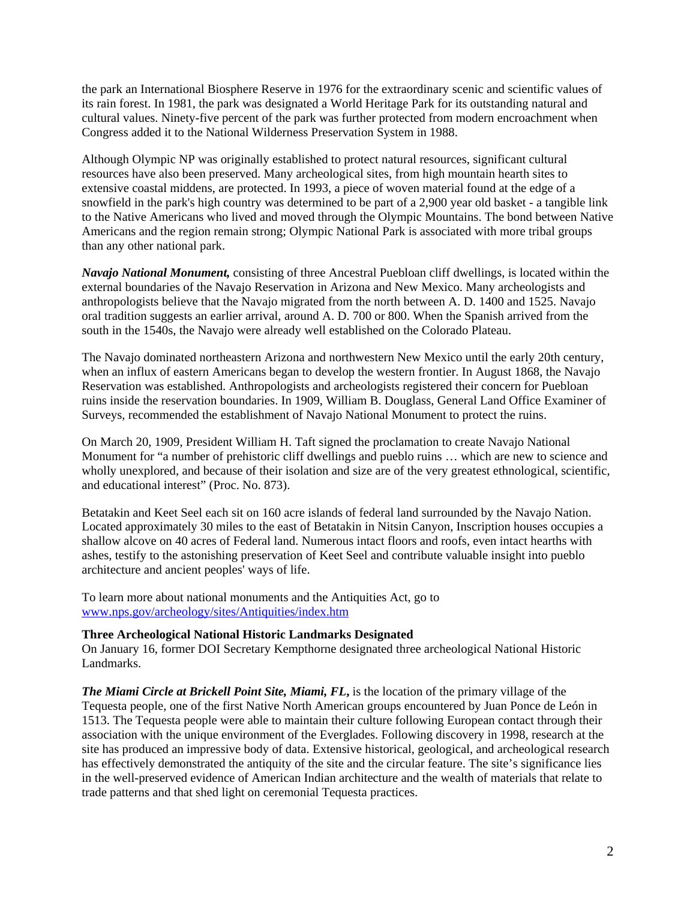the park an International Biosphere Reserve in 1976 for the extraordinary scenic and scientific values of its rain forest. In 1981, the park was designated a World Heritage Park for its outstanding natural and cultural values. Ninety-five percent of the park was further protected from modern encroachment when Congress added it to the National Wilderness Preservation System in 1988.

Although Olympic NP was originally established to protect natural resources, significant cultural resources have also been preserved. Many archeological sites, from high mountain hearth sites to extensive coastal middens, are protected. In 1993, a piece of woven material found at the edge of a snowfield in the park's high country was determined to be part of a 2,900 year old basket - a tangible link to the Native Americans who lived and moved through the Olympic Mountains. The bond between Native Americans and the region remain strong; Olympic National Park is associated with more tribal groups than any other national park.

*Navajo National Monument,* consisting of three Ancestral Puebloan cliff dwellings, is located within the external boundaries of the Navajo Reservation in Arizona and New Mexico. Many archeologists and anthropologists believe that the Navajo migrated from the north between A. D. 1400 and 1525. Navajo oral tradition suggests an earlier arrival, around A. D. 700 or 800. When the Spanish arrived from the south in the 1540s, the Navajo were already well established on the Colorado Plateau.

The Navajo dominated northeastern Arizona and northwestern New Mexico until the early 20th century, when an influx of eastern Americans began to develop the western frontier. In August 1868, the Navajo Reservation was established. Anthropologists and archeologists registered their concern for Puebloan ruins inside the reservation boundaries. In 1909, William B. Douglass, General Land Office Examiner of Surveys, recommended the establishment of Navajo National Monument to protect the ruins.

On March 20, 1909, President William H. Taft signed the proclamation to create Navajo National Monument for "a number of prehistoric cliff dwellings and pueblo ruins … which are new to science and wholly unexplored, and because of their isolation and size are of the very greatest ethnological, scientific, and educational interest" (Proc. No. 873).

Betatakin and Keet Seel each sit on 160 acre islands of federal land surrounded by the Navajo Nation. Located approximately 30 miles to the east of Betatakin in Nitsin Canyon, Inscription houses occupies a shallow alcove on 40 acres of Federal land. Numerous intact floors and roofs, even intact hearths with ashes, testify to the astonishing preservation of Keet Seel and contribute valuable insight into pueblo architecture and ancient peoples' ways of life.

To learn more about national monuments and the Antiquities Act, go to <www.nps.gov/archeology/sites/Antiquities/index.htm>

## **Three Archeological National Historic Landmarks Designated**

On January 16, former DOI Secretary Kempthorne designated three archeological National Historic Landmarks.

*The Miami Circle at Brickell Point Site, Miami, FL***,** is the location of the primary village of the Tequesta people, one of the first Native North American groups encountered by Juan Ponce de León in 1513. The Tequesta people were able to maintain their culture following European contact through their association with the unique environment of the Everglades. Following discovery in 1998, research at the site has produced an impressive body of data. Extensive historical, geological, and archeological research has effectively demonstrated the antiquity of the site and the circular feature. The site's significance lies in the well-preserved evidence of American Indian architecture and the wealth of materials that relate to trade patterns and that shed light on ceremonial Tequesta practices.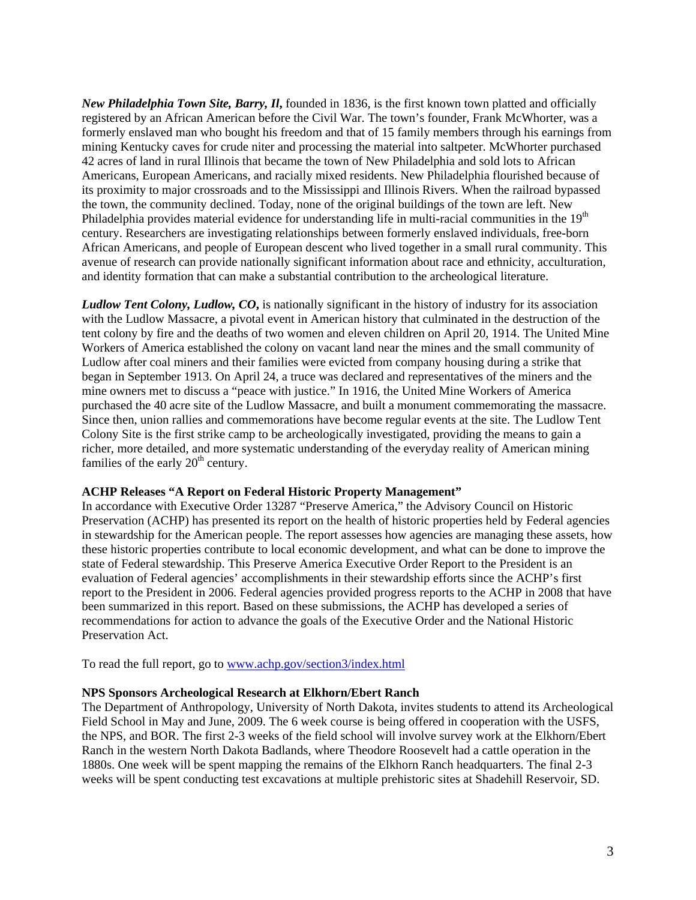*New Philadelphia Town Site, Barry, Il***,** founded in 1836, is the first known town platted and officially registered by an African American before the Civil War. The town's founder, Frank McWhorter, was a formerly enslaved man who bought his freedom and that of 15 family members through his earnings from mining Kentucky caves for crude niter and processing the material into saltpeter. McWhorter purchased 42 acres of land in rural Illinois that became the town of New Philadelphia and sold lots to African Americans, European Americans, and racially mixed residents. New Philadelphia flourished because of its proximity to major crossroads and to the Mississippi and Illinois Rivers. When the railroad bypassed the town, the community declined. Today, none of the original buildings of the town are left. New Philadelphia provides material evidence for understanding life in multi-racial communities in the  $19<sup>th</sup>$ century. Researchers are investigating relationships between formerly enslaved individuals, free-born African Americans, and people of European descent who lived together in a small rural community. This avenue of research can provide nationally significant information about race and ethnicity, acculturation, and identity formation that can make a substantial contribution to the archeological literature.

*Ludlow Tent Colony, Ludlow, CO***,** is nationally significant in the history of industry for its association with the Ludlow Massacre, a pivotal event in American history that culminated in the destruction of the tent colony by fire and the deaths of two women and eleven children on April 20, 1914. The United Mine Workers of America established the colony on vacant land near the mines and the small community of Ludlow after coal miners and their families were evicted from company housing during a strike that began in September 1913. On April 24, a truce was declared and representatives of the miners and the mine owners met to discuss a "peace with justice." In 1916, the United Mine Workers of America purchased the 40 acre site of the Ludlow Massacre, and built a monument commemorating the massacre. Since then, union rallies and commemorations have become regular events at the site. The Ludlow Tent Colony Site is the first strike camp to be archeologically investigated, providing the means to gain a richer, more detailed, and more systematic understanding of the everyday reality of American mining families of the early  $20<sup>th</sup>$  century.

#### **ACHP Releases "A Report on Federal Historic Property Management"**

In accordance with Executive Order 13287 "Preserve America," the Advisory Council on Historic Preservation (ACHP) has presented its report on the health of historic properties held by Federal agencies in stewardship for the American people. The report assesses how agencies are managing these assets, how these historic properties contribute to local economic development, and what can be done to improve the state of Federal stewardship. This Preserve America Executive Order Report to the President is an evaluation of Federal agencies' accomplishments in their stewardship efforts since the ACHP's first report to the President in 2006. Federal agencies provided progress reports to the ACHP in 2008 that have been summarized in this report. Based on these submissions, the ACHP has developed a series of recommendations for action to advance the goals of the Executive Order and the National Historic Preservation Act.

To read the full report, go to <www.achp.gov/section3/index.html>

#### **NPS Sponsors Archeological Research at Elkhorn/Ebert Ranch**

The Department of Anthropology, University of North Dakota, invites students to attend its Archeological Field School in May and June, 2009. The 6 week course is being offered in cooperation with the USFS, the NPS, and BOR. The first 2-3 weeks of the field school will involve survey work at the Elkhorn/Ebert Ranch in the western North Dakota Badlands, where Theodore Roosevelt had a cattle operation in the 1880s. One week will be spent mapping the remains of the Elkhorn Ranch headquarters. The final 2-3 weeks will be spent conducting test excavations at multiple prehistoric sites at Shadehill Reservoir, SD.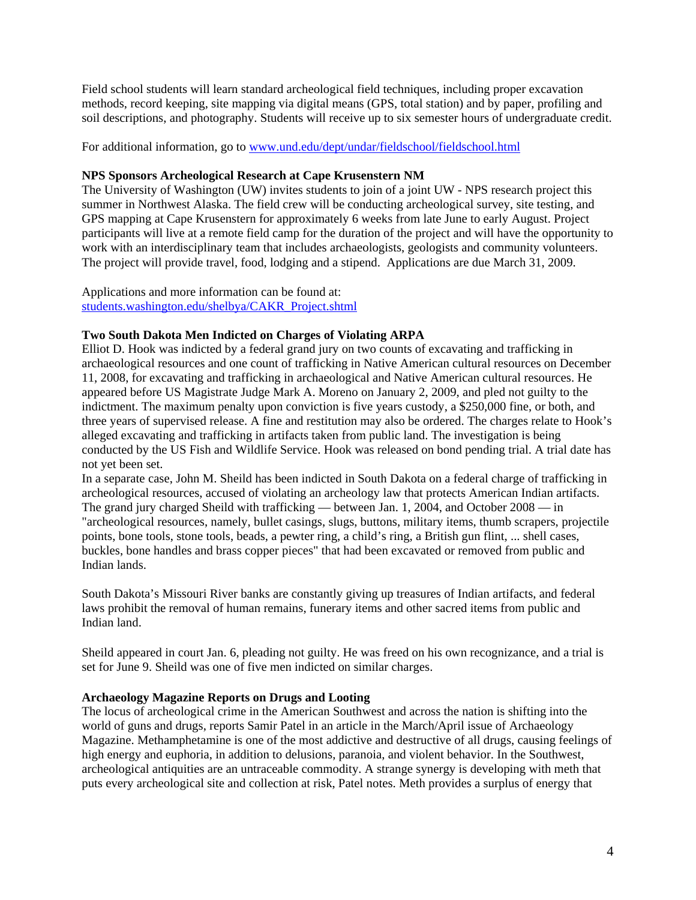Field school students will learn standard archeological field techniques, including proper excavation methods, record keeping, site mapping via digital means (GPS, total station) and by paper, profiling and soil descriptions, and photography. Students will receive up to six semester hours of undergraduate credit.

For additional information, go to<www.und.edu/dept/undar/fieldschool/fieldschool.html>

## **NPS Sponsors Archeological Research at Cape Krusenstern NM**

The University of Washington (UW) invites students to join of a joint UW - NPS research project this summer in Northwest Alaska. The field crew will be conducting archeological survey, site testing, and GPS mapping at Cape Krusenstern for approximately 6 weeks from late June to early August. Project participants will live at a remote field camp for the duration of the project and will have the opportunity to work with an interdisciplinary team that includes archaeologists, geologists and community volunteers. The project will provide travel, food, lodging and a stipend. Applications are due March 31, 2009.

Applications and more information can be found at: [students.washington.edu/shelbya/CAKR\\_Project.shtml](students.washington.edu/shelbya/CAKR_Project.shtml)

## **Two South Dakota Men Indicted on Charges of Violating ARPA**

Elliot D. Hook was indicted by a federal grand jury on two counts of excavating and trafficking in archaeological resources and one count of trafficking in Native American cultural resources on December 11, 2008, for excavating and trafficking in archaeological and Native American cultural resources. He appeared before US Magistrate Judge Mark A. Moreno on January 2, 2009, and pled not guilty to the indictment. The maximum penalty upon conviction is five years custody, a \$250,000 fine, or both, and three years of supervised release. A fine and restitution may also be ordered. The charges relate to Hook's alleged excavating and trafficking in artifacts taken from public land. The investigation is being conducted by the US Fish and Wildlife Service. Hook was released on bond pending trial. A trial date has not yet been set.

In a separate case, John M. Sheild has been indicted in South Dakota on a federal charge of trafficking in archeological resources, accused of violating an archeology law that protects American Indian artifacts. The grand jury charged Sheild with trafficking — between Jan. 1, 2004, and October 2008 — in "archeological resources, namely, bullet casings, slugs, buttons, military items, thumb scrapers, projectile points, bone tools, stone tools, beads, a pewter ring, a child's ring, a British gun flint, ... shell cases, buckles, bone handles and brass copper pieces" that had been excavated or removed from public and Indian lands.

South Dakota's Missouri River banks are constantly giving up treasures of Indian artifacts, and federal laws prohibit the removal of human remains, funerary items and other sacred items from public and Indian land.

Sheild appeared in court Jan. 6, pleading not guilty. He was freed on his own recognizance, and a trial is set for June 9. Sheild was one of five men indicted on similar charges.

## **Archaeology Magazine Reports on Drugs and Looting**

The locus of archeological crime in the American Southwest and across the nation is shifting into the world of guns and drugs, reports Samir Patel in an article in the March/April issue of Archaeology Magazine. Methamphetamine is one of the most addictive and destructive of all drugs, causing feelings of high energy and euphoria, in addition to delusions, paranoia, and violent behavior. In the Southwest, archeological antiquities are an untraceable commodity. A strange synergy is developing with meth that puts every archeological site and collection at risk, Patel notes. Meth provides a surplus of energy that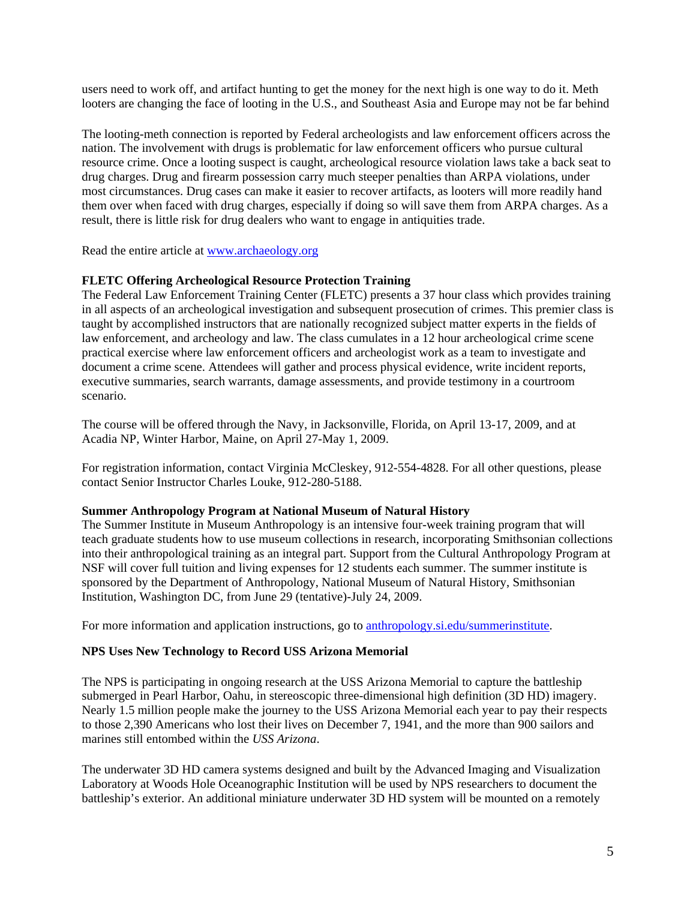users need to work off, and artifact hunting to get the money for the next high is one way to do it. Meth looters are changing the face of looting in the U.S., and Southeast Asia and Europe may not be far behind

The looting-meth connection is reported by Federal archeologists and law enforcement officers across the nation. The involvement with drugs is problematic for law enforcement officers who pursue cultural resource crime. Once a looting suspect is caught, archeological resource violation laws take a back seat to drug charges. Drug and firearm possession carry much steeper penalties than ARPA violations, under most circumstances. Drug cases can make it easier to recover artifacts, as looters will more readily hand them over when faced with drug charges, especially if doing so will save them from ARPA charges. As a result, there is little risk for drug dealers who want to engage in antiquities trade.

Read the entire article at<www.archaeology.org>

## **FLETC Offering Archeological Resource Protection Training**

The Federal Law Enforcement Training Center (FLETC) presents a 37 hour class which provides training in all aspects of an archeological investigation and subsequent prosecution of crimes. This premier class is taught by accomplished instructors that are nationally recognized subject matter experts in the fields of law enforcement, and archeology and law. The class cumulates in a 12 hour archeological crime scene practical exercise where law enforcement officers and archeologist work as a team to investigate and document a crime scene. Attendees will gather and process physical evidence, write incident reports, executive summaries, search warrants, damage assessments, and provide testimony in a courtroom scenario.

The course will be offered through the Navy, in Jacksonville, Florida, on April 13-17, 2009, and at Acadia NP, Winter Harbor, Maine, on April 27-May 1, 2009.

For registration information, contact Virginia McCleskey, 912-554-4828. For all other questions, please contact Senior Instructor Charles Louke, 912-280-5188.

## **Summer Anthropology Program at National Museum of Natural History**

The Summer Institute in Museum Anthropology is an intensive four-week training program that will teach graduate students how to use museum collections in research, incorporating Smithsonian collections into their anthropological training as an integral part. Support from the Cultural Anthropology Program at NSF will cover full tuition and living expenses for 12 students each summer. The summer institute is sponsored by the Department of Anthropology, National Museum of Natural History, Smithsonian Institution, Washington DC, from June 29 (tentative)-July 24, 2009.

For more information and application instructions, go to<anthropology.si.edu/summerinstitute>.

## **NPS Uses New Technology to Record USS Arizona Memorial**

The NPS is participating in ongoing research at the USS Arizona Memorial to capture the battleship submerged in Pearl Harbor, Oahu, in stereoscopic three-dimensional high definition (3D HD) imagery. Nearly 1.5 million people make the journey to the USS Arizona Memorial each year to pay their respects to those 2,390 Americans who lost their lives on December 7, 1941, and the more than 900 sailors and marines still entombed within the *USS Arizona*.

The underwater 3D HD camera systems designed and built by the Advanced Imaging and Visualization Laboratory at Woods Hole Oceanographic Institution will be used by NPS researchers to document the battleship's exterior. An additional miniature underwater 3D HD system will be mounted on a remotely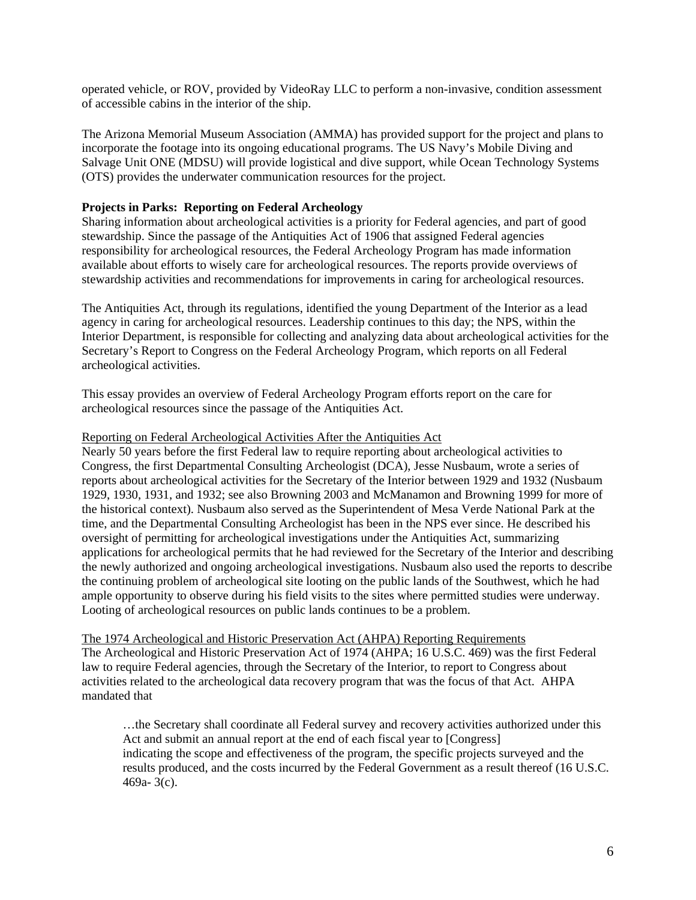operated vehicle, or ROV, provided by VideoRay LLC to perform a non-invasive, condition assessment of accessible cabins in the interior of the ship.

The Arizona Memorial Museum Association (AMMA) has provided support for the project and plans to incorporate the footage into its ongoing educational programs. The US Navy's Mobile Diving and Salvage Unit ONE (MDSU) will provide logistical and dive support, while Ocean Technology Systems (OTS) provides the underwater communication resources for the project.

## **Projects in Parks: Reporting on Federal Archeology**

Sharing information about archeological activities is a priority for Federal agencies, and part of good stewardship. Since the passage of the Antiquities Act of 1906 that assigned Federal agencies responsibility for archeological resources, the Federal Archeology Program has made information available about efforts to wisely care for archeological resources. The reports provide overviews of stewardship activities and recommendations for improvements in caring for archeological resources.

The Antiquities Act, through its regulations, identified the young Department of the Interior as a lead agency in caring for archeological resources. Leadership continues to this day; the NPS, within the Interior Department, is responsible for collecting and analyzing data about archeological activities for the Secretary's Report to Congress on the Federal Archeology Program, which reports on all Federal archeological activities.

This essay provides an overview of Federal Archeology Program efforts report on the care for archeological resources since the passage of the Antiquities Act.

#### Reporting on Federal Archeological Activities After the Antiquities Act

Nearly 50 years before the first Federal law to require reporting about archeological activities to Congress, the first Departmental Consulting Archeologist (DCA), Jesse Nusbaum, wrote a series of reports about archeological activities for the Secretary of the Interior between 1929 and 1932 (Nusbaum 1929, 1930, 1931, and 1932; see also Browning 2003 and McManamon and Browning 1999 for more of the historical context). Nusbaum also served as the Superintendent of Mesa Verde National Park at the time, and the Departmental Consulting Archeologist has been in the NPS ever since. He described his oversight of permitting for archeological investigations under the Antiquities Act, summarizing applications for archeological permits that he had reviewed for the Secretary of the Interior and describing the newly authorized and ongoing archeological investigations. Nusbaum also used the reports to describe the continuing problem of archeological site looting on the public lands of the Southwest, which he had ample opportunity to observe during his field visits to the sites where permitted studies were underway. Looting of archeological resources on public lands continues to be a problem.

The 1974 Archeological and Historic Preservation Act (AHPA) Reporting Requirements The Archeological and Historic Preservation Act of 1974 (AHPA; 16 U.S.C. 469) was the first Federal law to require Federal agencies, through the Secretary of the Interior, to report to Congress about activities related to the archeological data recovery program that was the focus of that Act. AHPA mandated that

…the Secretary shall coordinate all Federal survey and recovery activities authorized under this Act and submit an annual report at the end of each fiscal year to [Congress] indicating the scope and effectiveness of the program, the specific projects surveyed and the results produced, and the costs incurred by the Federal Government as a result thereof (16 U.S.C. 469a- 3(c).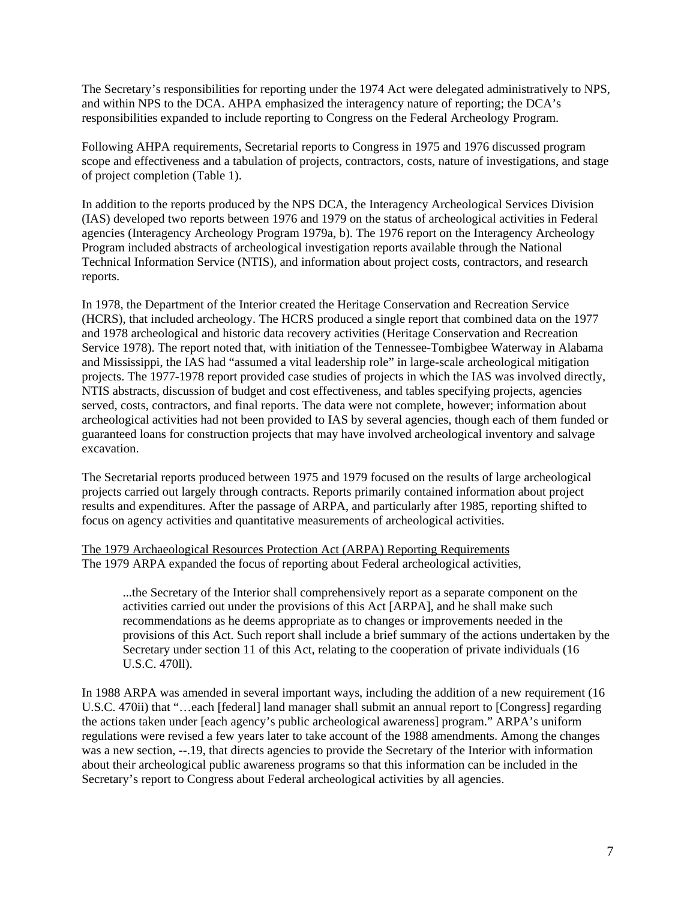The Secretary's responsibilities for reporting under the 1974 Act were delegated administratively to NPS, and within NPS to the DCA. AHPA emphasized the interagency nature of reporting; the DCA's responsibilities expanded to include reporting to Congress on the Federal Archeology Program.

Following AHPA requirements, Secretarial reports to Congress in 1975 and 1976 discussed program scope and effectiveness and a tabulation of projects, contractors, costs, nature of investigations, and stage of project completion (Table 1).

In addition to the reports produced by the NPS DCA, the Interagency Archeological Services Division (IAS) developed two reports between 1976 and 1979 on the status of archeological activities in Federal agencies (Interagency Archeology Program 1979a, b). The 1976 report on the Interagency Archeology Program included abstracts of archeological investigation reports available through the National Technical Information Service (NTIS), and information about project costs, contractors, and research reports.

In 1978, the Department of the Interior created the Heritage Conservation and Recreation Service (HCRS), that included archeology. The HCRS produced a single report that combined data on the 1977 and 1978 archeological and historic data recovery activities (Heritage Conservation and Recreation Service 1978). The report noted that, with initiation of the Tennessee-Tombigbee Waterway in Alabama and Mississippi, the IAS had "assumed a vital leadership role" in large-scale archeological mitigation projects. The 1977-1978 report provided case studies of projects in which the IAS was involved directly, NTIS abstracts, discussion of budget and cost effectiveness, and tables specifying projects, agencies served, costs, contractors, and final reports. The data were not complete, however; information about archeological activities had not been provided to IAS by several agencies, though each of them funded or guaranteed loans for construction projects that may have involved archeological inventory and salvage excavation.

The Secretarial reports produced between 1975 and 1979 focused on the results of large archeological projects carried out largely through contracts. Reports primarily contained information about project results and expenditures. After the passage of ARPA, and particularly after 1985, reporting shifted to focus on agency activities and quantitative measurements of archeological activities.

The 1979 Archaeological Resources Protection Act (ARPA) Reporting Requirements The 1979 ARPA expanded the focus of reporting about Federal archeological activities,

...the Secretary of the Interior shall comprehensively report as a separate component on the activities carried out under the provisions of this Act [ARPA], and he shall make such recommendations as he deems appropriate as to changes or improvements needed in the provisions of this Act. Such report shall include a brief summary of the actions undertaken by the Secretary under section 11 of this Act, relating to the cooperation of private individuals (16 U.S.C. 470ll).

In 1988 ARPA was amended in several important ways, including the addition of a new requirement (16 U.S.C. 470ii) that "…each [federal] land manager shall submit an annual report to [Congress] regarding the actions taken under [each agency's public archeological awareness] program." ARPA's uniform regulations were revised a few years later to take account of the 1988 amendments. Among the changes was a new section, --.19, that directs agencies to provide the Secretary of the Interior with information about their archeological public awareness programs so that this information can be included in the Secretary's report to Congress about Federal archeological activities by all agencies.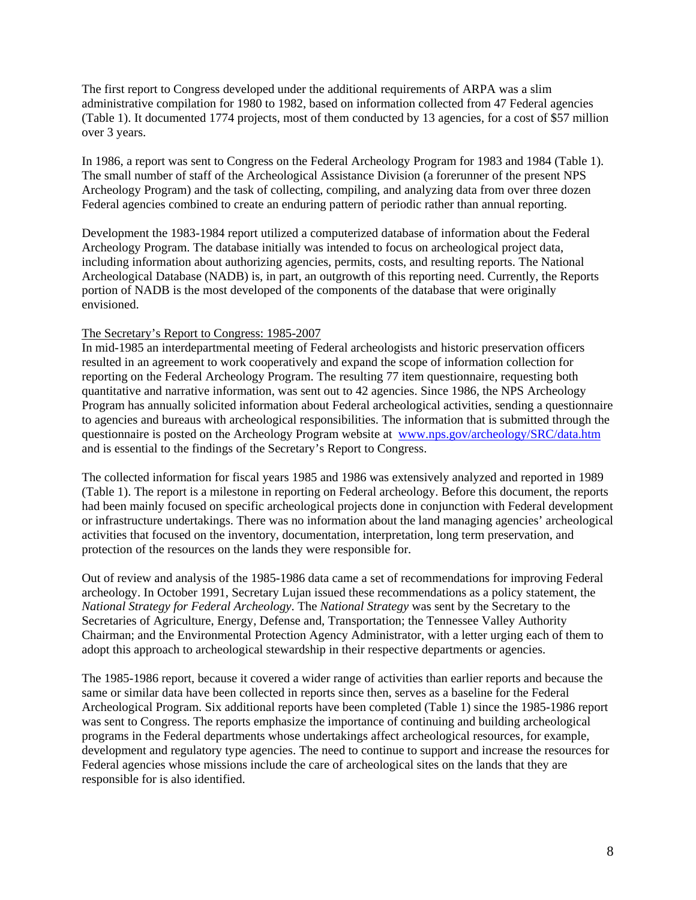The first report to Congress developed under the additional requirements of ARPA was a slim administrative compilation for 1980 to 1982, based on information collected from 47 Federal agencies (Table 1). It documented 1774 projects, most of them conducted by 13 agencies, for a cost of \$57 million over 3 years.

In 1986, a report was sent to Congress on the Federal Archeology Program for 1983 and 1984 (Table 1). The small number of staff of the Archeological Assistance Division (a forerunner of the present NPS Archeology Program) and the task of collecting, compiling, and analyzing data from over three dozen Federal agencies combined to create an enduring pattern of periodic rather than annual reporting.

Development the 1983-1984 report utilized a computerized database of information about the Federal Archeology Program. The database initially was intended to focus on archeological project data, including information about authorizing agencies, permits, costs, and resulting reports. The National Archeological Database (NADB) is, in part, an outgrowth of this reporting need. Currently, the Reports portion of NADB is the most developed of the components of the database that were originally envisioned.

#### The Secretary's Report to Congress: 1985-2007

In mid-1985 an interdepartmental meeting of Federal archeologists and historic preservation officers resulted in an agreement to work cooperatively and expand the scope of information collection for reporting on the Federal Archeology Program. The resulting 77 item questionnaire, requesting both quantitative and narrative information, was sent out to 42 agencies. Since 1986, the NPS Archeology Program has annually solicited information about Federal archeological activities, sending a questionnaire to agencies and bureaus with archeological responsibilities. The information that is submitted through the questionnaire is posted on the Archeology Program website at <www.nps.gov/archeology/SRC/data.htm> and is essential to the findings of the Secretary's Report to Congress.

The collected information for fiscal years 1985 and 1986 was extensively analyzed and reported in 1989 (Table 1). The report is a milestone in reporting on Federal archeology. Before this document, the reports had been mainly focused on specific archeological projects done in conjunction with Federal development or infrastructure undertakings. There was no information about the land managing agencies' archeological activities that focused on the inventory, documentation, interpretation, long term preservation, and protection of the resources on the lands they were responsible for.

Out of review and analysis of the 1985-1986 data came a set of recommendations for improving Federal archeology. In October 1991, Secretary Lujan issued these recommendations as a policy statement, the *National Strategy for Federal Archeology*. The *National Strategy* was sent by the Secretary to the Secretaries of Agriculture, Energy, Defense and, Transportation; the Tennessee Valley Authority Chairman; and the Environmental Protection Agency Administrator, with a letter urging each of them to adopt this approach to archeological stewardship in their respective departments or agencies.

The 1985-1986 report, because it covered a wider range of activities than earlier reports and because the same or similar data have been collected in reports since then, serves as a baseline for the Federal Archeological Program. Six additional reports have been completed (Table 1) since the 1985-1986 report was sent to Congress. The reports emphasize the importance of continuing and building archeological programs in the Federal departments whose undertakings affect archeological resources, for example, development and regulatory type agencies. The need to continue to support and increase the resources for Federal agencies whose missions include the care of archeological sites on the lands that they are responsible for is also identified.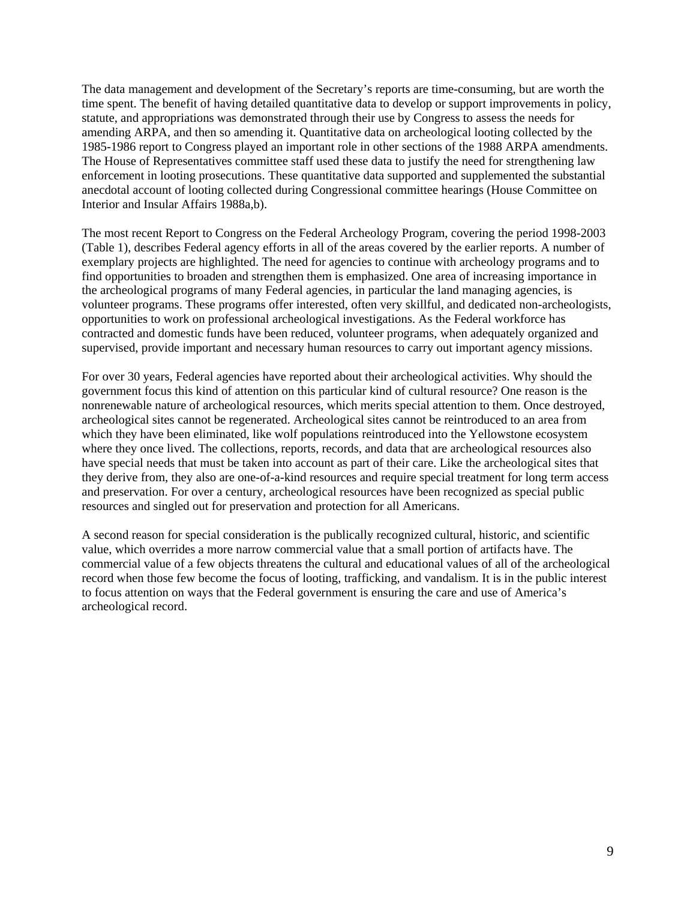The data management and development of the Secretary's reports are time-consuming, but are worth the time spent. The benefit of having detailed quantitative data to develop or support improvements in policy, statute, and appropriations was demonstrated through their use by Congress to assess the needs for amending ARPA, and then so amending it. Quantitative data on archeological looting collected by the 1985-1986 report to Congress played an important role in other sections of the 1988 ARPA amendments. The House of Representatives committee staff used these data to justify the need for strengthening law enforcement in looting prosecutions. These quantitative data supported and supplemented the substantial anecdotal account of looting collected during Congressional committee hearings (House Committee on Interior and Insular Affairs 1988a,b).

The most recent Report to Congress on the Federal Archeology Program, covering the period 1998-2003 (Table 1), describes Federal agency efforts in all of the areas covered by the earlier reports. A number of exemplary projects are highlighted. The need for agencies to continue with archeology programs and to find opportunities to broaden and strengthen them is emphasized. One area of increasing importance in the archeological programs of many Federal agencies, in particular the land managing agencies, is volunteer programs. These programs offer interested, often very skillful, and dedicated non-archeologists, opportunities to work on professional archeological investigations. As the Federal workforce has contracted and domestic funds have been reduced, volunteer programs, when adequately organized and supervised, provide important and necessary human resources to carry out important agency missions.

For over 30 years, Federal agencies have reported about their archeological activities. Why should the government focus this kind of attention on this particular kind of cultural resource? One reason is the nonrenewable nature of archeological resources, which merits special attention to them. Once destroyed, archeological sites cannot be regenerated. Archeological sites cannot be reintroduced to an area from which they have been eliminated, like wolf populations reintroduced into the Yellowstone ecosystem where they once lived. The collections, reports, records, and data that are archeological resources also have special needs that must be taken into account as part of their care. Like the archeological sites that they derive from, they also are one-of-a-kind resources and require special treatment for long term access and preservation. For over a century, archeological resources have been recognized as special public resources and singled out for preservation and protection for all Americans.

A second reason for special consideration is the publically recognized cultural, historic, and scientific value, which overrides a more narrow commercial value that a small portion of artifacts have. The commercial value of a few objects threatens the cultural and educational values of all of the archeological record when those few become the focus of looting, trafficking, and vandalism. It is in the public interest to focus attention on ways that the Federal government is ensuring the care and use of America's archeological record.